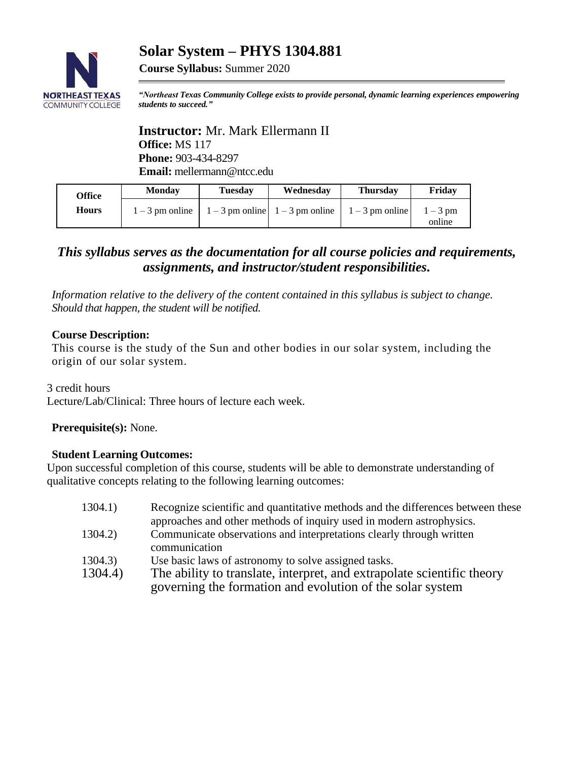# **Solar System – PHYS 1304.881**



**Course Syllabus:** Summer 2020

*"Northeast Texas Community College exists to provide personal, dynamic learning experiences empowering students to succeed."*

**Instructor:** Mr. Mark Ellermann II **Office:** MS 117 **Phone:** 903-434-8297 **Email:** mellermann@ntcc.edu

| Office       | <b>Monday</b>     | <b>Tuesday</b> | Wednesdav                                       | <b>Thursday</b> | Fridav             |
|--------------|-------------------|----------------|-------------------------------------------------|-----------------|--------------------|
| <b>Hours</b> | $1 - 3$ pm online |                | $1-3$ pm online $1-3$ pm online $1-3$ pm online |                 | $1-3$ pm<br>online |

# *This syllabus serves as the documentation for all course policies and requirements, assignments, and instructor/student responsibilities.*

*Information relative to the delivery of the content contained in this syllabus is subject to change. Should that happen, the student will be notified.*

### **Course Description:**

This course is the study of the Sun and other bodies in our solar system, including the origin of our solar system.

3 credit hours Lecture/Lab/Clinical: Three hours of lecture each week.

**Prerequisite(s):** None.

### **Student Learning Outcomes:**

Upon successful completion of this course, students will be able to demonstrate understanding of qualitative concepts relating to the following learning outcomes:

| 1304.1) | Recognize scientific and quantitative methods and the differences between these |  |  |
|---------|---------------------------------------------------------------------------------|--|--|
|         | approaches and other methods of inquiry used in modern astrophysics.            |  |  |
| 1304.2) | Communicate observations and interpretations clearly through written            |  |  |
|         | communication                                                                   |  |  |
| 1304.3) | Use basic laws of astronomy to solve assigned tasks.                            |  |  |
| 1304.4) | The ability to translate, interpret, and extrapolate scientific theory          |  |  |
|         | governing the formation and evolution of the solar system                       |  |  |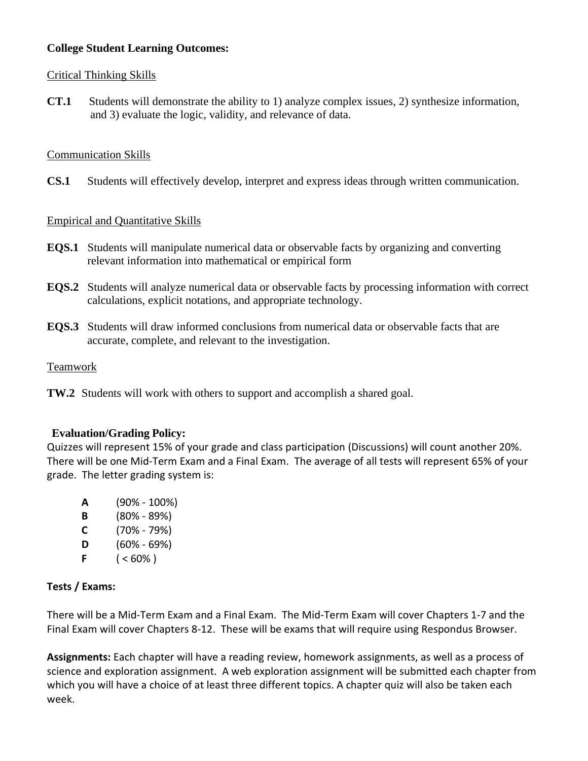### **College Student Learning Outcomes:**

### Critical Thinking Skills

**CT.1** Students will demonstrate the ability to 1) analyze complex issues, 2) synthesize information, and 3) evaluate the logic, validity, and relevance of data.

### Communication Skills

**CS.1** Students will effectively develop, interpret and express ideas through written communication.

### Empirical and Quantitative Skills

- **EQS.1** Students will manipulate numerical data or observable facts by organizing and converting relevant information into mathematical or empirical form
- **EQS.2** Students will analyze numerical data or observable facts by processing information with correct calculations, explicit notations, and appropriate technology.
- **EQS.3** Students will draw informed conclusions from numerical data or observable facts that are accurate, complete, and relevant to the investigation.

### Teamwork

**TW.2** Students will work with others to support and accomplish a shared goal.

### **Evaluation/Grading Policy:**

Quizzes will represent 15% of your grade and class participation (Discussions) will count another 20%. There will be one Mid-Term Exam and a Final Exam. The average of all tests will represent 65% of your grade. The letter grading system is:

**A** (90% - 100%) **B** (80% - 89%) **C** (70% - 79%) **D** (60% - 69%) **F**  $( $60\%$ )$ 

### **Tests / Exams:**

There will be a Mid-Term Exam and a Final Exam. The Mid-Term Exam will cover Chapters 1-7 and the Final Exam will cover Chapters 8-12. These will be exams that will require using Respondus Browser.

**Assignments:** Each chapter will have a reading review, homework assignments, as well as a process of science and exploration assignment. A web exploration assignment will be submitted each chapter from which you will have a choice of at least three different topics. A chapter quiz will also be taken each week.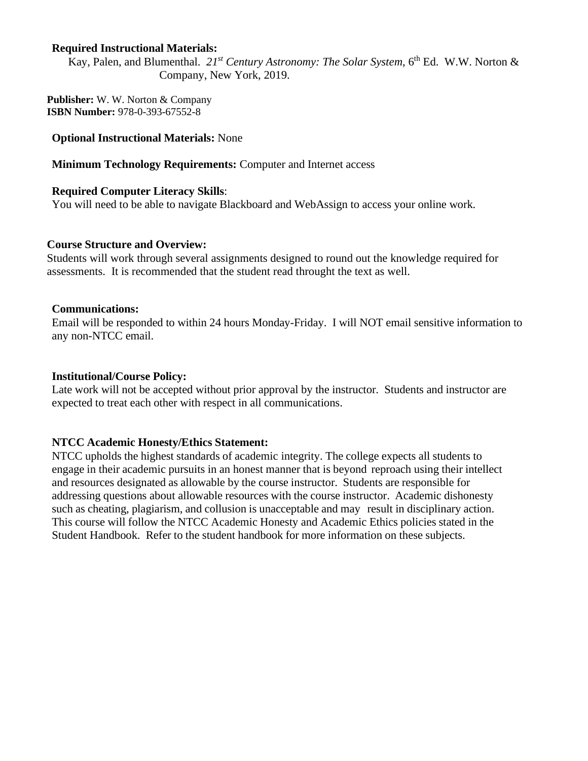#### **Required Instructional Materials:**

Kay, Palen, and Blumenthal. 21<sup>*st Century Astronomy: The Solar System*, 6<sup>th</sup> Ed. W.W. Norton &</sup> Company, New York, 2019.

**Publisher:** W. W. Norton & Company **ISBN Number:** 978-0-393-67552-8

#### **Optional Instructional Materials:** None

**Minimum Technology Requirements:** Computer and Internet access

#### **Required Computer Literacy Skills**:

You will need to be able to navigate Blackboard and WebAssign to access your online work.

#### **Course Structure and Overview:**

Students will work through several assignments designed to round out the knowledge required for assessments. It is recommended that the student read throught the text as well.

#### **Communications:**

Email will be responded to within 24 hours Monday-Friday. I will NOT email sensitive information to any non-NTCC email.

#### **Institutional/Course Policy:**

Late work will not be accepted without prior approval by the instructor. Students and instructor are expected to treat each other with respect in all communications.

#### **NTCC Academic Honesty/Ethics Statement:**

NTCC upholds the highest standards of academic integrity. The college expects all students to engage in their academic pursuits in an honest manner that is beyond reproach using their intellect and resources designated as allowable by the course instructor. Students are responsible for addressing questions about allowable resources with the course instructor. Academic dishonesty such as cheating, plagiarism, and collusion is unacceptable and may result in disciplinary action. This course will follow the NTCC Academic Honesty and Academic Ethics policies stated in the Student Handbook. Refer to the student handbook for more information on these subjects.